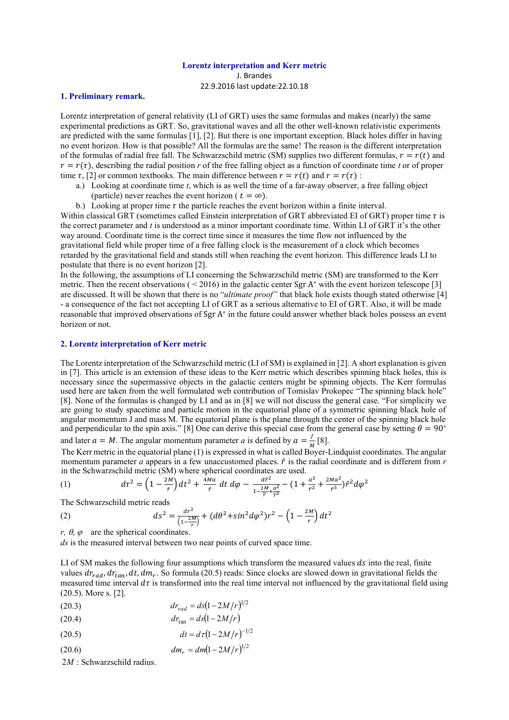#### **Lorentz interpretation and Kerr metric**

J. Brandes 22.9.2016 last update:22.10.18

### **1. Preliminary remark.**

Lorentz interpretation of general relativity (LI of GRT) uses the same formulas and makes (nearly) the same experimental predictions as GRT. So, gravitational waves and all the other well-known relativistic experiments are predicted with the same formulas [1], [2]. But there is one important exception. Black holes differ in having no event horizon. How is that possible? All the formulas are the same! The reason is the different interpretation of the formulas of radial free fall. The Schwarzschild metric (SM) supplies two different formulas,  $r = r(t)$  and  $r = r(\tau)$ , describing the radial position *r* of the free falling object as a function of coordinate time *t* or of proper time  $\tau$ , [2] or common textbooks. The main difference between  $r = r(t)$  and  $r = r(\tau)$ :

- a.) Looking at coordinate time *t*, which is as well the time of a far-away observer, a free falling object (particle) never reaches the event horizon ( $t = \infty$ ).
- b.) Looking at proper time  $\tau$  the particle reaches the event horizon within a finite interval.

Within classical GRT (sometimes called Einstein interpretation of GRT abbreviated EI of GRT) proper time  $\tau$  is the correct parameter and *t* is understood as a minor important coordinate time. Within LI of GRT it's the other way around. Coordinate time is the correct time since it measures the time flow not influenced by the gravitational field while proper time of a free falling clock is the measurement of a clock which becomes retarded by the gravitational field and stands still when reaching the event horizon. This difference leads LI to postulate that there is no event horizon [2].

In the following, the assumptions of LI concerning the Schwarzschild metric (SM) are transformed to the Kerr metric. Then the recent observations  $(< 2016)$  in the galactic center Sgr A<sup>\*</sup> with the event horizon telescope [3] are discussed. It will be shown that there is no "*ultimate proof"* that black hole exists though stated otherwise [4] - a consequence of the fact not accepting LI of GRT as a serious alternative to EI of GRT. Also, it will be made reasonable that improved observations of Sgr A<sup>\*</sup> in the future could answer whether black holes possess an event horizon or not.

### **2. Lorentz interpretation of Kerr metric**

The Lorentz interpretation of the Schwarzschild metric (LI of SM) is explained in [2]. A short explanation is given in [7]. This article is an extension of these ideas to the Kerr metric which describes spinning black holes, this is necessary since the supermassive objects in the galactic centers might be spinning objects. The Kerr formulas used here are taken from the well formulated web contribution of Tomislav Prokopec "The spinning black hole" [8]. None of the formulas is changed by LI and as in [8] we will not discuss the general case. "For simplicity we are going to study spacetime and particle motion in the equatorial plane of a symmetric spinning black hole of angular momentum J and mass M. The equatorial plane is the plane through the center of the spinning black hole and perpendicular to the spin axis." [8] One can derive this special case from the general case by setting  $\theta = 90^\circ$ and later  $a = M$ . The angular momentum parameter *a* is defined by  $a = \frac{J}{M}$  $\frac{1}{M}$ [8].

The Kerr metric in the equatorial plane (1) is expressed in what is called Boyer-Lindquist coordinates. The angular momentum parameter *a* appears in a few unaccustomed places.  $\tilde{r}$  is the radial coordinate and is different from  $r$ in the Schwarzschild metric (SM) where spherical coordinates are used.

(1) 
$$
d\tau^{2} = \left(1 - \frac{2M}{\tilde{r}}\right)dt^{2} + \frac{4Ma}{\tilde{r}}dt d\varphi - \frac{d\tilde{r}^{2}}{1 - \frac{2M}{\tilde{r}} + \frac{a^{2}}{\tilde{r}^{2}}} - \left(1 + \frac{a^{2}}{\tilde{r}^{2}} + \frac{2Ma^{2}}{\tilde{r}^{3}}\right)\tilde{r}^{2}d\varphi^{2}
$$

The Schwarzschild metric reads

(2) 
$$
ds^{2} = \frac{dr^{2}}{\left(1 - \frac{2M}{r}\right)} + (d\theta^{2} + \sin^{2} d\varphi^{2})r^{2} - \left(1 - \frac{2M}{r}\right)dt^{2}
$$

*r,*  $\theta$ *,*  $\varphi$  are the spherical coordinates.

*ds* is the measured interval between two near points of curved space time.

LI of SM makes the following four assumptions which transform the measured values  $ds$  into the real, finite values  $dr_{rad}$ ,  $dr_{tan}$ ,  $dt$ ,  $dm_r$ . So formula (20.5) reads: Since clocks are slowed down in gravitational fields the measured time interval  $d\tau$  is transformed into the real time interval not influenced by the gravitational field using (20.5). More s. [2].

(20.3)  $dr_{rad} = ds(1 - 2M/r)^{1/2}$ 

$$
dr_{\rm tan} = ds(1 - 2M/r)
$$

- (20.5)  $dt = d\tau (1 - 2M/r)^{-1/2}$
- (20.6)  $dm_r = dm(1 - 2M/r)^{1/2}$

2*M* : Schwarzschild radius.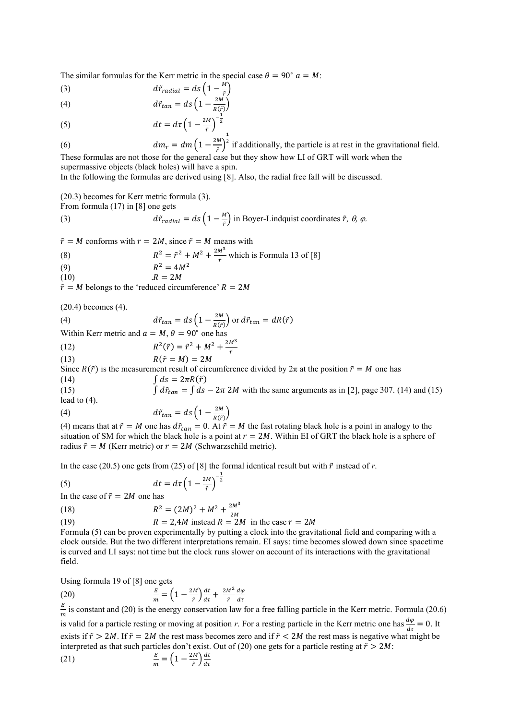The similar formulas for the Kerr metric in the special case  $\theta = 90^\circ a = M$ :

(3) 
$$
d\tilde{r}_{radial} = ds \left(1 - \frac{M}{\tilde{r}}\right)
$$

(4) 
$$
d\tilde{r}_{tan} = ds \left(1 - \frac{2M}{R(\tilde{r})}\right)
$$

(5) 
$$
dt = d\tau \left(1 - \frac{2M}{\tilde{r}}\right)^{-\frac{1}{2}}
$$

(6) 
$$
dm_r = dm \left(1 - \frac{2M}{r}\right)^{\frac{1}{2}}
$$
 if additionally, the particle is at rest in the gravitational field.

These formulas are not those for the general case but they show how LI of GRT will work when the supermassive objects (black holes) will have a spin.

In the following the formulas are derived using [8]. Also, the radial free fall will be discussed.

(20.3) becomes for Kerr metric formula (3).

From formula (17) in [8] one gets

(3) 
$$
d\tilde{r}_{radial} = ds \left(1 - \frac{M}{r}\right) \text{ in Boyer-Lindquist coordinates } \tilde{r}, \theta, \varphi.
$$

 $\tilde{r} = M$  conforms with  $r = 2M$ , since  $\tilde{r} = M$  means with

(8) 
$$
R^2 = \tilde{r}^2 + M^2 + \frac{2M^3}{\tilde{r}}
$$
 which is Formula 13 of [8]

$$
(9) \quad
$$

$$
R^2 = 4M^2
$$
  
(10) 
$$
R^2 = 2M
$$

$$
R = 2M
$$

 $\tilde{r} = M$  belongs to the 'reduced circumference'  $R = 2M$ 

(20.4) becomes (4).

(4) 
$$
d\tilde{r}_{tan} = ds \left(1 - \frac{2M}{R(\tilde{r})}\right) \text{ or } d\tilde{r}_{tan} = dR(\tilde{r})
$$
  
Within *K* or matrix and  $\alpha = M, \theta = 90^{\circ}$  one has

Within Kerr metric and  $a = M$ ,  $\theta = 90^\circ$  one has  $M^3$ 

(12) 
$$
R^2(\tilde{r}) = \tilde{r}^2 + M^2 + \frac{2M}{\tilde{r}}
$$

(13)  $R(\tilde{r} = M) = 2M$ Since  $R(\tilde{r})$  is the measurement result of circumference divided by  $2\pi$  at the position  $\tilde{r} = M$  one has

(14)  $\int ds = 2\pi R(\tilde{r})$ 

(15)  $\int d\tilde{r}_{tan} = \int ds - 2\pi 2M$  with the same arguments as in [2], page 307. (14) and (15) lead to (4).

(4) 
$$
d\tilde{r}_{tan} = ds \left(1 - \frac{2M}{R(\tilde{r})}\right)
$$

(4) means that at  $\tilde{r} = M$  one has  $d\tilde{r}_{tan} = 0$ . At  $\tilde{r} = M$  the fast rotating black hole is a point in analogy to the situation of SM for which the black hole is a point at  $r = 2M$ . Within EI of GRT the black hole is a sphere of radius  $\tilde{r} = M$  (Kerr metric) or  $r = 2M$  (Schwarzschild metric).

In the case (20.5) one gets from (25) of [8] the formal identical result but with  $\tilde{r}$  instead of  $r$ .

 $\left(\frac{M}{\tilde{r}}\right)^{-\frac{1}{2}}$ 

$$
dt = d\tau \left(1 - \frac{2M}{\tilde{r}}\right)
$$

In the case of  $\tilde{r} = 2M$  one has

(18) 
$$
R^2 = (2M)^2 + M^2 + \frac{2M^3}{3M}
$$

(19) 
$$
R = 2,4M \text{ instead } R = 2M \text{ in the case } r = 2M
$$

Formula (5) can be proven experimentally by putting a clock into the gravitational field and comparing with a clock outside. But the two different interpretations remain. EI says: time becomes slowed down since spacetime is curved and LI says: not time but the clock runs slower on account of its interactions with the gravitational field.

Using formula 19 of [8] one gets

(20) 
$$
\frac{E}{m} = \left(1 - \frac{2M}{\tilde{r}}\right)\frac{dt}{d\tau} + \frac{2M^2}{\tilde{r}}\frac{d\varphi}{d\tau}
$$

E  $\frac{E}{m}$  is constant and (20) is the energy conservation law for a free falling particle in the Kerr metric. Formula (20.6)

is valid for a particle resting or moving at position *r*. For a resting particle in the Kerr metric one has  $\frac{d\varphi}{dt} = 0$ . It exists if  $\tilde{r} > 2M$ . If  $\tilde{r} = 2M$  the rest mass becomes zero and if  $\tilde{r} < 2M$  the rest mass is negative what might be interpreted as that such particles don't exist. Out of (20) one gets for a particle resting at  $\tilde{r} > 2M$ :

(21) 
$$
\frac{E}{m} = \left(1 - \frac{2M}{\tilde{r}}\right)\frac{dt}{d\tau}
$$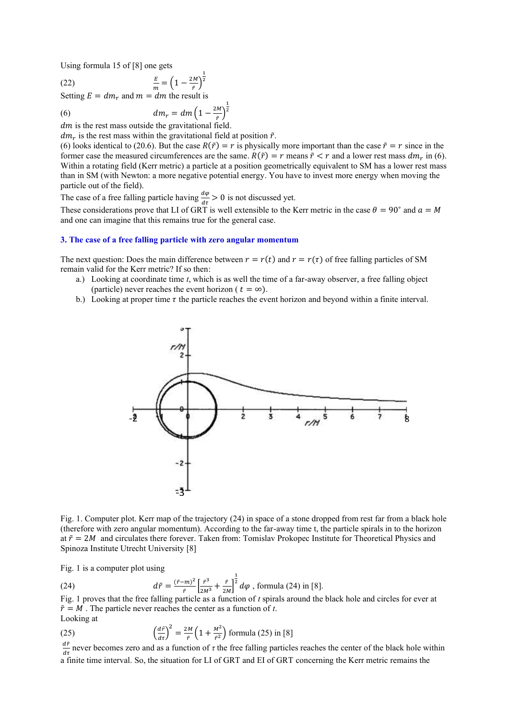Using formula 15 of [8] one gets

(22) 
$$
\frac{E}{m} = \left(1 - \frac{2M}{\tilde{r}}\right)
$$

Setting  $E = dm_r$  and  $m = dm$  the result is

(6) 
$$
dm_r = dm \left(1 - \frac{1}{2m}\right)
$$

 $dm$  is the rest mass outside the gravitational field.

 $dm_r$  is the rest mass within the gravitational field at position  $\tilde{r}$ .

1 2

2M  $\frac{1}{\tilde{r}})$ 1 2

(6) looks identical to (20.6). But the case  $R(\tilde{r}) = r$  is physically more important than the case  $\tilde{r} = r$  since in the former case the measured circumferences are the same.  $R(\tilde{r}) = r$  means  $\tilde{r} < r$  and a lower rest mass  $dm_r$  in (6). Within a rotating field (Kerr metric) a particle at a position geometrically equivalent to SM has a lower rest mass than in SM (with Newton: a more negative potential energy. You have to invest more energy when moving the particle out of the field).

The case of a free falling particle having  $\frac{d\varphi}{dt} > 0$  is not discussed yet.

These considerations prove that LI of GRT is well extensible to the Kerr metric in the case  $\theta = 90^\circ$  and  $a = M$ and one can imagine that this remains true for the general case.

# **3. The case of a free falling particle with zero angular momentum**

The next question: Does the main difference between  $r = r(t)$  and  $r = r(\tau)$  of free falling particles of SM remain valid for the Kerr metric? If so then:

- a.) Looking at coordinate time *t*, which is as well the time of a far-away observer, a free falling object (particle) never reaches the event horizon ( $t = \infty$ ).
- b.) Looking at proper time  $\tau$  the particle reaches the event horizon and beyond within a finite interval.



Fig. 1. Computer plot. Kerr map of the trajectory (24) in space of a stone dropped from rest far from a black hole (therefore with zero angular momentum). According to the far-away time t, the particle spirals in to the horizon at  $\tilde{r} = 2M$  and circulates there forever. Taken from: Tomislav Prokopec Institute for Theoretical Physics and Spinoza Institute Utrecht University [8]

Fig. 1 is a computer plot using

(24)  $d\tilde{r} = \frac{(\tilde{r}-m)^2}{a}$  $\frac{(\vec{r})^2}{(\vec{r})^2} \left[ \frac{\vec{r}^3}{2M^3} + \frac{\vec{r}}{2M} \right]$  $\frac{1}{2M}$  $\frac{1}{2}d\varphi$  , formula (24) in [8].

Fig. 1 proves that the free falling particle as a function of *t* spirals around the black hole and circles for ever at  $\tilde{r} = M$ . The particle never reaches the center as a function of *t*. Looking at

(25) 
$$
\left(\frac{d\tilde{r}}{d\tau}\right)^2 = \frac{2M}{\tilde{r}} \left(1 + \frac{M^2}{\tilde{r}^2}\right)
$$
 formula (25) in [8]

 $\frac{dr}{d\tau}$  never becomes zero and as a function of  $\tau$  the free falling particles reaches the center of the black hole within a finite time interval. So, the situation for LI of GRT and EI of GRT concerning the Kerr metric remains the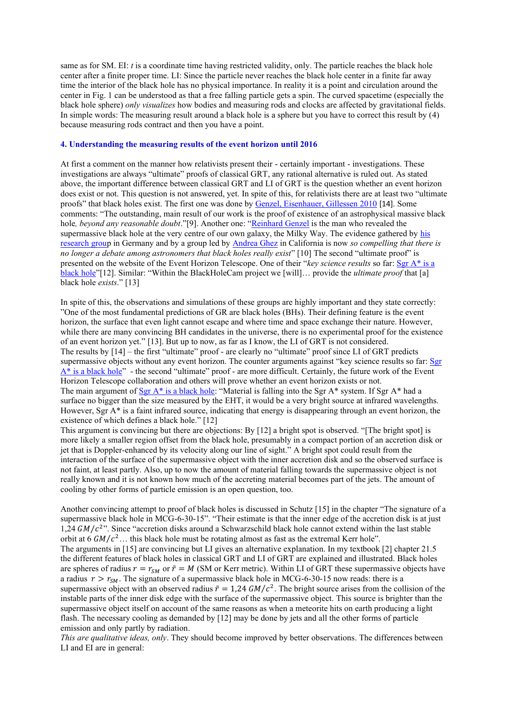same as for SM. EI: *t* is a coordinate time having restricted validity, only. The particle reaches the black hole center after a finite proper time. LI: Since the particle never reaches the black hole center in a finite far away time the interior of the black hole has no physical importance. In reality it is a point and circulation around the center in Fig. 1 can be understood as that a free falling particle gets a spin. The curved spacetime (especially the black hole sphere) *only visualizes* how bodies and measuring rods and clocks are affected by gravitational fields. In simple words: The measuring result around a black hole is a sphere but you have to correct this result by (4) because measuring rods contract and then you have a point.

# **4. Understanding the measuring results of the event horizon until 2016**

At first a comment on the manner how relativists present their - certainly important - investigations. These investigations are always "ultimate" proofs of classical GRT, any rational alternative is ruled out. As stated above, the important difference between classical GRT and LI of GRT is the question whether an event horizon does exist or not. This question is not answered, yet. In spite of this, for relativists there are at least two "ultimate proofs" that black holes exist. The first one was done b[y Genzel, Eisenhauer, Gillessen 2010](http://adsabs.harvard.edu/abs/2010RvMP...82.3121G) [14]. Some comments: "The outstanding, main result of our work is the proof of existence of an astrophysical massive black hole*, beyond any reasonable doubt*."[9]. Another one: "[Reinhard](http://www.mpg.de/cgi-bin/mpg.de/person.cgi?nav=kontakt&persId=152748&lang=de&inst=extraterrestrische_physik) Genzel is the man who revealed the supermassive black hole at the very centre of our own galaxy, the Milky Way. The evidence gathered by [his](http://www.mpe.mpg.de/ir/GC/index.php)  [research group](http://www.mpe.mpg.de/ir/GC/index.php) in Germany and by a group led by [Andrea Ghez](http://www.astro.ucla.edu/~ghezgroup/gc/index.shtml) in California is now *so compelling that there is no longer a debate among astronomers that black holes really exist*" [10] The second "ultimate proof" is presented on the website of the Event Horizon Telescope. One of their "*key science results* so far: Ser A<sup>\*</sup> is a [black hole](http://www.eventhorizontelescope.org/science/eh_structure.html)"[12]. Similar: "Within the BlackHoleCam project we [will]… provide the *ultimate proof* that [a] black hole *exists*." [13]

In spite of this, the observations and simulations of these groups are highly important and they state correctly: "One of the most fundamental predictions of GR are black holes (BHs). Their defining feature is the event horizon, the surface that even light cannot escape and where time and space exchange their nature. However, while there are many convincing BH candidates in the universe, there is no experimental proof for the existence of an event horizon yet." [13]. But up to now, as far as I know, the LI of GRT is not considered. The results by [14] – the first "ultimate" proof - are clearly no "ultimate" proof since LI of GRT predicts supermassive objects without any event horizon. The counter arguments against "key science results so far: Sgr [A\\* is a black hole](http://www.eventhorizontelescope.org/science/eh_structure.html)" - the second "ultimate" proof - are more difficult. Certainly, the future work of the Event Horizon Telescope collaboration and others will prove whether an event horizon exists or not. The main argument of [Sgr A\\* is a black hole:](http://www.eventhorizontelescope.org/science/eh_structure.html) "Material is falling into the Sgr A\* system. If Sgr A\* had a surface no bigger than the size measured by the EHT, it would be a very bright source at infrared wavelengths. However, Sgr A\* is a faint infrared source, indicating that energy is disappearing through an event horizon, the existence of which defines a black hole." [12]

This argument is convincing but there are objections: By [12] a bright spot is observed. "[The bright spot] is more likely a smaller region offset from the black hole, presumably in a compact portion of an accretion disk or jet that is Doppler-enhanced by its velocity along our line of sight." A bright spot could result from the interaction of the surface of the supermassive object with the inner accretion disk and so the observed surface is not faint, at least partly. Also, up to now the amount of material falling towards the supermassive object is not really known and it is not known how much of the accreting material becomes part of the jets. The amount of cooling by other forms of particle emission is an open question, too.

Another convincing attempt to proof of black holes is discussed in Schutz [15] in the chapter "The signature of a supermassive black hole in MCG-6-30-15". "Their estimate is that the inner edge of the accretion disk is at just 1,24  $GM/c<sup>2</sup>$ . Since "accretion disks around a Schwarzschild black hole cannot extend within the last stable orbit at 6  $GM/c^2$ ... this black hole must be rotating almost as fast as the extremal Kerr hole". The arguments in [15] are convincing but LI gives an alternative explanation. In my textbook [2] chapter 21.5 the different features of black holes in classical GRT and LI of GRT are explained and illustrated. Black holes are spheres of radius  $r = r_{SM}$  or  $\tilde{r} = M$  (SM or Kerr metric). Within LI of GRT these supermassive objects have a radius  $r > r<sub>SM</sub>$ . The signature of a supermassive black hole in MCG-6-30-15 now reads: there is a supermassive object with an observed radius  $\tilde{r} = 1.24 \, GM/c^2$ . The bright source arises from the collision of the instable parts of the inner disk edge with the surface of the supermassive object. This source is brighter than the supermassive object itself on account of the same reasons as when a meteorite hits on earth producing a light flash. The necessary cooling as demanded by [12] may be done by jets and all the other forms of particle emission and only partly by radiation.

*This are qualitative ideas, only*. They should become improved by better observations. The differences between LI and EI are in general: